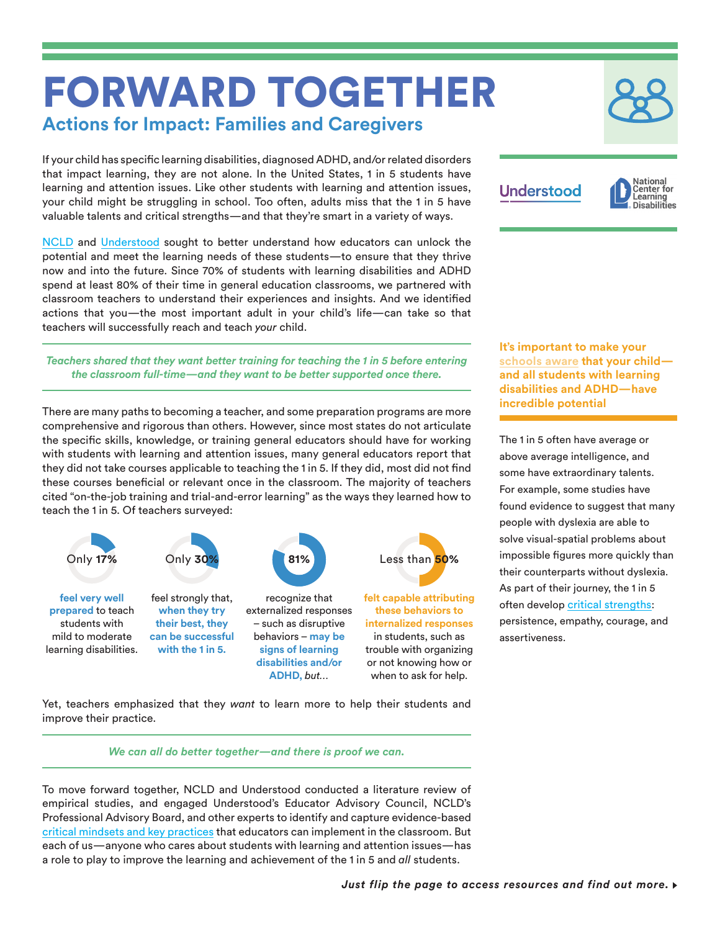# FORWARD TOGETHER **Actions for Impact: Families and Caregivers**

If your child has specific learning disabilities, diagnosed ADHD, and/or related disorders that impact learning, they are not alone. In the United States, 1 in 5 students have learning and attention issues. Like other students with learning and attention issues, your child might be struggling in school. Too often, adults miss that the 1 in 5 have valuable talents and critical strengths—and that they're smart in a variety of ways.

[NCLD](https://www.ncld.org/) and [Understood](https://www.understood.org/en) sought to better understand how educators can unlock the potential and meet the learning needs of these students—to ensure that they thrive now and into the future. Since 70% of students with learning disabilities and ADHD spend at least 80% of their time in general education classrooms, we partnered with classroom teachers to understand their experiences and insights. And we identified actions that you—the most important adult in your child's life—can take so that teachers will successfully reach and teach *your* child.

*Teachers shared that they want better training for teaching the 1 in 5 before entering the classroom full-time—and they want to be better supported once there.* 

There are many paths to becoming a teacher, and some preparation programs are more comprehensive and rigorous than others. However, since most states do not articulate the specific skills, knowledge, or training general educators should have for working with students with learning and attention issues, many general educators report that they did not take courses applicable to teaching the 1 in 5. If they did, most did not find these courses beneficial or relevant once in the classroom. The majority of teachers cited "on-the-job training and trial-and-error learning" as the ways they learned how to teach the 1 in 5. Of teachers surveyed:



Yet, teachers emphasized that they *want* to learn more to help their students and improve their practice.

*We can all do better together—and there is proof we can.*

To move forward together, NCLD and Understood conducted a literature review of empirical studies, and engaged Understood's Educator Advisory Council, NCLD's Professional Advisory Board, and other experts to identify and capture evidence-based [critical mindsets and key practices](http://www.ncld.org/forwardtogetherkeyfindings) that educators can implement in the classroom. But each of us—anyone who cares about students with learning and attention issues—has a role to play to improve the learning and achievement of the 1 in 5 and *all* students.

| <b>Understood</b> | <b>D</b> Natio |
|-------------------|----------------|
|                   |                |



**It's important to make your [schools aware](https://www.understood.org/en/school-learning/special-services/ieps/strengths-based-ieps-what-you-need-to-know) that your child and all students with learning disabilities and ADHD—have incredible potential**

The 1 in 5 often have average or above average intelligence, and some have extraordinary talents. For example, some studies have found evidence to suggest that many people with dyslexia are able to solve visual-spatial problems about impossible figures more quickly than their counterparts without dyslexia. As part of their journey, the 1 in 5 often develop [critical strengths](https://www.understood.org/en/friends-feelings/managing-feelings/feeling-victimized/4-strengths-that-come-from-challenges): persistence, empathy, courage, and assertiveness.